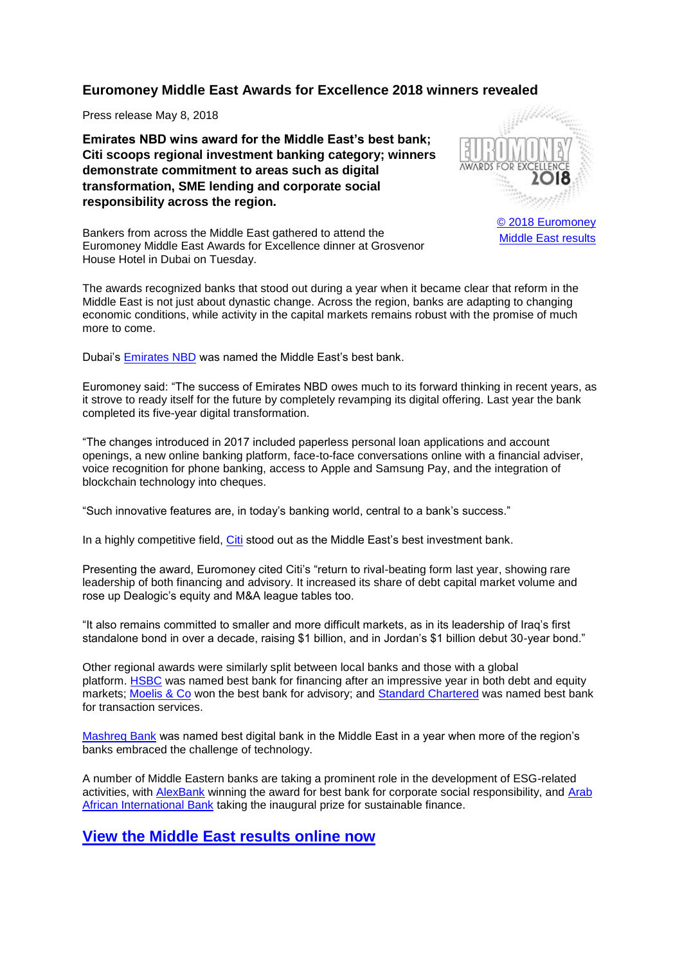## **Euromoney Middle East Awards for Excellence 2018 winners revealed**

Press release May 8, 2018

**Emirates NBD wins award for the Middle East's best bank; Citi scoops regional investment banking category; winners demonstrate commitment to areas such as digital transformation, SME lending and corporate social responsibility across the region.**



[© 2018 Euromoney](https://www.euromoney.com/research-and-awards/surveys-and-awards/logo-usage) [Middle East results](https://dat.euromoneydigital.com/article/b17yn20sfvlyr2/awards-for-excellence-2018-middle-east-results)

Bankers from across the Middle East gathered to attend the Euromoney Middle East Awards for Excellence dinner at Grosvenor House Hotel in Dubai on Tuesday.

The awards recognized banks that stood out during a year when it became clear that reform in the Middle East is not just about dynastic change. Across the region, banks are adapting to changing economic conditions, while activity in the capital markets remains robust with the promise of much more to come.

Dubai's [Emirates NBD](https://dat.euromoneydigital.com/article/b181qd036ydscp/middle-east39s-best-bank-2018-emirates-nbd) was named the Middle East's best bank.

Euromoney said: "The success of Emirates NBD owes much to its forward thinking in recent years, as it strove to ready itself for the future by completely revamping its digital offering. Last year the bank completed its five-year digital transformation.

"The changes introduced in 2017 included paperless personal loan applications and account openings, a new online banking platform, face-to-face conversations online with a financial adviser, voice recognition for phone banking, access to Apple and Samsung Pay, and the integration of blockchain technology into cheques.

"Such innovative features are, in today's banking world, central to a bank's success."

In a highly competitive field. [Citi](https://dat.euromoneydigital.com/article/b181qk1cpy8mn2/middle-east39s-best-investment-bank-2018-citi) stood out as the Middle East's best investment bank.

Presenting the award, Euromoney cited Citi's "return to rival-beating form last year, showing rare leadership of both financing and advisory. It increased its share of debt capital market volume and rose up Dealogic's equity and M&A league tables too.

"It also remains committed to smaller and more difficult markets, as in its leadership of Iraq's first standalone bond in over a decade, raising \$1 billion, and in Jordan's \$1 billion debut 30-year bond."

Other regional awards were similarly split between local banks and those with a global platform. [HSBC](https://dat.euromoneydigital.com/article/b181qqm777t68f/middle-east39s-best-bank-for-financing-2018-hsbc) was named best bank for financing after an impressive year in both debt and equity markets; [Moelis & Co](https://dat.euromoneydigital.com/article/b181qygy6cdhmw/middle-east39s-best-bank-for-advisory-2018-moelis-amp-co) won the best bank for advisory; and [Standard Chartered](https://dat.euromoneydigital.com/article/b181r61c6hnfr2/middle-east39s-best-bank-for-transaction-services-2018-standard-chartered) was named best bank for transaction services.

Mashreg Bank was named best digital bank in the Middle East in a year when more of the region's banks embraced the challenge of technology.

A number of Middle Eastern banks are taking a prominent role in the development of ESG-related activities, with [AlexBank](https://dat.euromoneydigital.com/article/b181sclbrd8dvx/middle-east39s-best-bank-for-corporate-social-responsibility-2018-bank-of-alexandria) winning the award for best bank for corporate social responsibility, and [Arab](https://dat.euromoneydigital.com/article/b181sryktmpf45/middle-east39s-best-bank-for-sustainable-finance-2018-arab-african-international-bank)  [African International Bank](https://dat.euromoneydigital.com/article/b181sryktmpf45/middle-east39s-best-bank-for-sustainable-finance-2018-arab-african-international-bank) taking the inaugural prize for sustainable finance.

## **[View the Middle East results online now](https://dat.euromoneydigital.com/article/b17yn20sfvlyr2/awards-for-excellence-2018-middle-east-results)**